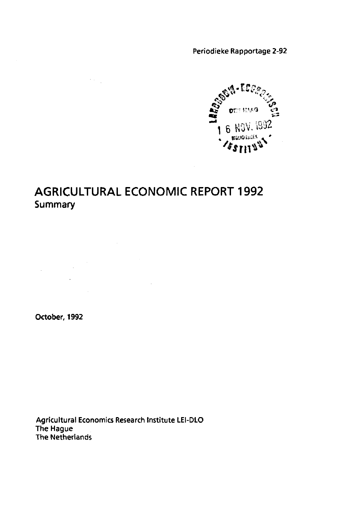Periodieke Rapportage 2-92



### **AGRICULTURAL ECONOMIC REPORT 1992 Summary**

 $\mathcal{L}^{\text{max}}_{\text{max}}$ 

 $\label{eq:2.1} \mathcal{L}(\mathcal{L}^{\text{max}}_{\mathcal{L}}(\mathcal{L}^{\text{max}}_{\mathcal{L}})) \leq \mathcal{L}(\mathcal{L}^{\text{max}}_{\mathcal{L}}(\mathcal{L}^{\text{max}}_{\mathcal{L}}))$ 

 $\mathcal{L}_{\mathcal{A}}$ 

**October, 1992** 

 $\frac{1}{2}$  ,  $\frac{1}{2}$ 

 $\sim$   $\sim$ 

Agricultural Economics Research Institute LEI-DLO The Hague The Netherlands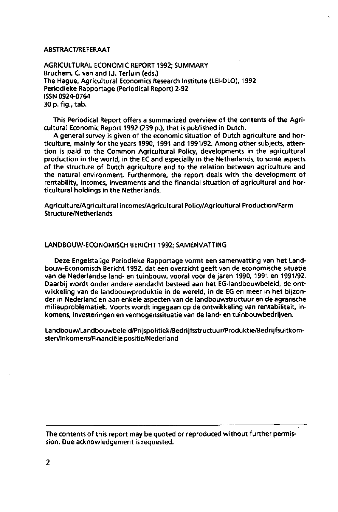#### ABSTRACT/REFERAAT

AGRICULTURAL ECONOMIC REPORT 1992; SUMMARY Bruchem, C. van and I.J. Terluin (eds.) The Hague, Agricultural Economics Research Institute (LEI-DLO), 1992 Periodieke Rapportage (Periodical Report) 2-92 ISSN 0924-0764 30 p. fig., tab.

This Periodical Report offers a summarized overview of the contents of the Agricultural Economic Report 1992 (239 p.), that is published in Dutch.

A general survey is given of the economic situation of Dutch agriculture and horticulture, mainly for the years 1990, 1991 and 1991/92. Among other subjects, attention is paid to the Common Agricultural Policy, developments in the agricultural production in the world, in the EC and especially in the Netherlands, to some aspects of the structure of Dutch agriculture and to the relation between agriculture and the natural environment. Furthermore, the report deals with the development of rentability, incomes, investments and the financial situation of agricultural and horticultural holdings in the Netherlands.

Agriculture/Agricultural incomes/Agricultural Policy/Agricultural Production/Farm Structure/Netherlands

#### LANDBOUW-ECONOMISCH BERICHT 1992; SAMENVATTING

Deze Engelstalige Periodieke Rapportage vormt een samenvatting van het Landbouw-Economisch Bericht 1992, dat een overzicht geeft van de economische situatie van de Nederlandse land- en tuinbouw, vooral voor de jaren 1990, 1991 en 1991/92. Daarbij wordt onder andere aandacht besteed aan het EG-landbouwbeleid, de ontwikkeling van de landbouwproduktie in de wereld, in de EG en meer in het bijzonder in Nederland en aan enkele aspecten van de landbouwstructuur en de agrarische milieuproblematiek. Voorts wordt ingegaan op de ontwikkeling van rentabiliteit, inkomens, investeringen en vermogenssituatie van de land- en tuinbouwbedrijven.

Landbouw/Landbouwbeleid/Prijspolitiek/Bedrijfsstructuur/Produktie/Bedrijfsuitkomsten/Inkomens/Financiële positie/Nederland

The contents of this report may be quoted or reproduced without further permission. Due acknowledgement is requested.

 $\overline{2}$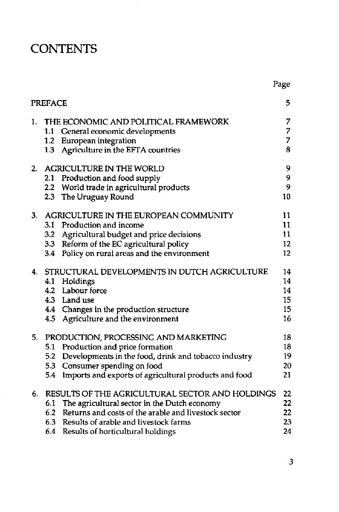# **CONTENTS**

 $\bar{\beta}$ 

|    | <b>PREFACE</b>           |                                                                                                                                                                                                                                                       | 5                                |
|----|--------------------------|-------------------------------------------------------------------------------------------------------------------------------------------------------------------------------------------------------------------------------------------------------|----------------------------------|
| 1. |                          | THE ECONOMIC AND POLITICAL FRAMEWORK<br>1.1 General economic developments<br>1.2 European integration<br>1.3 Agriculture in the EFTA countries                                                                                                        | 7<br>7<br>$\overline{7}$<br>8    |
| 2. |                          | <b>AGRICULTURE IN THE WORLD</b><br>2.1 Production and food supply<br>2.2 World trade in agricultural products<br>2.3 The Uruguay Round                                                                                                                | 9<br>9<br>9<br>10                |
| 3. | 3.2<br>3.4               | AGRICULTURE IN THE EUROPEAN COMMUNITY<br>3.1 Production and income<br>Agricultural budget and price decisions<br>3.3 Reform of the EC agricultural policy<br>Policy on rural areas and the environment                                                | 11<br>11<br>11<br>12<br>12       |
| 4. |                          | STRUCTURAL DEVELOPMENTS IN DUTCH AGRICULTURE<br>4.1 Holdings<br>4.2 Labour force<br>4.3 Land use<br>4.4 Changes in the production structure<br>4.5 Agriculture and the environment                                                                    | 14<br>14<br>14<br>15<br>15<br>16 |
| 5. | 5.1<br>5.2<br>5.3<br>5.4 | PRODUCTION, PROCESSING AND MARKETING<br>Production and price formation<br>Developments in the food, drink and tobacco industry<br>Consumer spending on food<br>Imports and exports of agricultural products and food                                  | 18<br>18<br>19<br>20<br>21       |
| 6. |                          | RESULTS OF THE AGRICULTURAL SECTOR AND HOLDINGS<br>6.1 The agricultural sector in the Dutch economy<br>6.2 Returns and costs of the arable and livestock sector<br>6.3 Results of arable and livestock farms<br>6.4 Results of horticultural holdings | 22<br>22<br>22<br>23<br>24       |

Page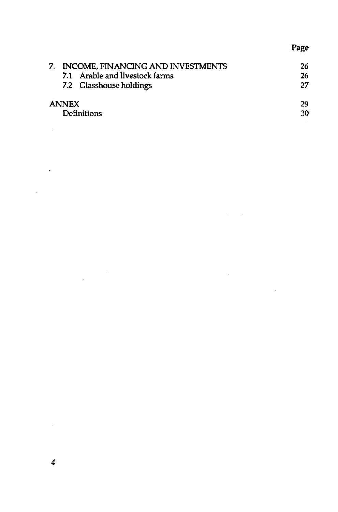### Page

| 7. INCOME, FINANCING AND INVESTMENTS | 26  |
|--------------------------------------|-----|
| 7.1 Arable and livestock farms       | 26  |
| 7.2 Glasshouse holdings              | 27  |
| <b>ANNEX</b>                         | 29  |
| <b>Definitions</b>                   | -30 |

 $\sim$ 

 $\sim$   $\sim$ 

l,

 $\bar{\mathcal{A}}$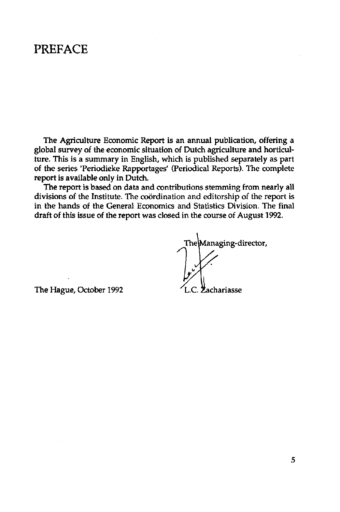### PREFACE

The Agriculture Economie Report is an annual publication, offering a global survey of the economic situation of Dutch agriculture and horticulture. This is a summary in English, which is published separately as part of the series 'Periodieke Rapportages' (Periodical Reports). The complete report is available only in Dutch.

The report is based on data and contributions stemming from nearly all divisions of the Institute. The coordination and editorship of the report is in the hands of the General Economics and Statistics Division. The final draft of this issue of the report was closed in the course of August 1992.

The Managing-director,

The Hague, October 1992 **L.C. Zachariasse**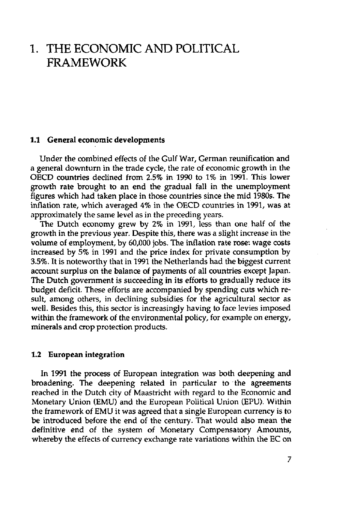### 1. THE ECONOMIC AND POLITICAL FRAMEWORK

#### **1.1 General economic developments**

Under the combined effects of the Gulf War, German reunification and a general downturn in the trade cycle, the rate of economic growth in the OECD countries declined from 2.5% in 1990 to 1% in 1991. This lower growth rate brought to an end the gradual fall in the unemployment figures which had taken place in those countries since the mid 1980s. The inflation rate, which averaged 4% in the OECD countries in 1991, was at approximately the same level as in the preceding years.

The Dutch economy grew by 2% in 1991, less than one half of the growth in the previous year. Despite this, there was a slight increase in the volume of employment, by 60,000 jobs. The inflation rate rose: wage costs increased by 5% in 1991 and the price index for private consumption by 3.5%. It is noteworthy that in 1991 the Netherlands had the biggest current account surplus on the balance of payments of all countries except Japan. The Dutch government is succeeding in its efforts to gradually reduce its budget deficit. These efforts are accompanied by spending cuts which result, among others, in declining subsidies for the agricultural sector as well. Besides this, this sector is increasingly having to face levies imposed within the framework of the environmental policy, for example on energy, minerals and crop protection products.

#### **1.2 European integration**

In 1991 the process of European integration was both deepening and broadening. The deepening related in particular to the agreements reached in the Dutch city of Maastricht with regard to the Economic and Monetary Union (EMU) and the European Political Union (EPU). Within the framework of EMU it was agreed that a single European currency is to be introduced before the end of the century. That would also mean the definitive end of the system of Monetary Compensatory Amounts, whereby the effects of currency exchange rate variations within the EC on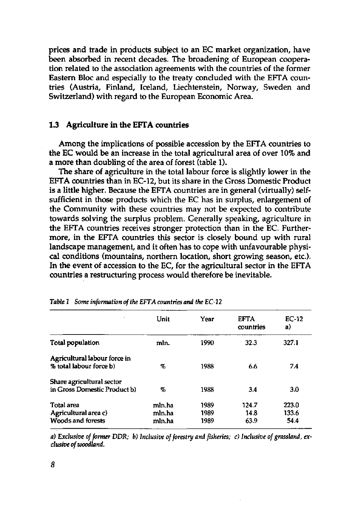prices and trade in products subject to an EC market organization, have been absorbed in recent decades. The broadening of European cooperation related to the association agreements with the countries of the former Eastern Bloc and especially to the treaty concluded with the EFTA countries (Austria, Finland, Iceland, Liechtenstein, Norway, Sweden and Switzerland) with regard to the European Economic Area.

#### **1.3 Agriculture in the EFTA countries**

Among the implications of possible accession by the EFTA countries to the EC would be an increase in the total agricultural area of over 10% and a more than doubling of the area of forest (table 1).

The share of agriculture in the total labour force is slightly lower in the EFTA countries than in EC-12, but its share in the Gross Domestic Product is a little higher. Because the EFTA countries are in general (virtually) selfsufficient in those products which the EC has in surplus, enlargement of the Community with these countries may not be expected to contribute towards solving the surplus problem. Generally speaking, agriculture in the EFTA countries receives stronger protection than in the EC. Furthermore, in the EFTA countries this sector is closely bound up with rural landscape management, and it often has to cope with unfavourable physical conditions (mountains, northern location, short growing season, etc.). In the event of accession to the EC, for the agricultural sector in the EFTA countries a restructuring process would therefore be inevitable.

|                                                                | Unit                       | Year                 | <b>EFTA</b><br>countries | $EC-12$<br>a)          |
|----------------------------------------------------------------|----------------------------|----------------------|--------------------------|------------------------|
| Total population                                               | mln.                       | 1990                 | 32.3                     | 327.1                  |
| Agricultural labour force in<br>% total labour force b)        | %                          | 1988                 | 6.6                      | 7.4                    |
| Share agricultural sector<br>in Gross Domestic Product b)      | %                          | 1988                 | 3.4                      | 3.0                    |
| Total area<br>Agricultural area c)<br><b>Woods and forests</b> | mln ha<br>mln.ha<br>mln.ha | 1989<br>1989<br>1989 | 124.7<br>14.8<br>63.9    | 223.0<br>133.6<br>54.4 |

*Table* 1 *Some information of the EFTA countries and the EC-12* 

*a) Exclusive of former DDR; b) Inclusive of forestry and fisheries; c) Inclusive of grassland, exclusive of woodland.*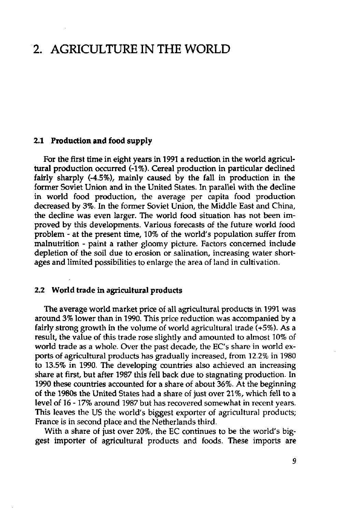### 2. AGRICULTURE IN THE WORLD

#### **2.1 Production and food supply**

For the first time in eight years in 1991 a reduction in the world agricultural production occurred (-1%). Cereal production in particular declined fairly sharply (-4.5%), mainly caused by the fall in production in the former Soviet Union and in the United States. In parallel with the decline in world food production, the average per capita food production decreased by 3%. In the former Soviet Union, the Middle East and China, the decline was even larger. The world food situation has not been improved by this developments. Various forecasts of the future world food problem - at the present time, 10% of the world's population suffer from malnutrition - paint a rather gloomy picture. Factors concerned include depletion of the soil due to erosion or salination, increasing water shortages and limited possibilities to enlarge the area of land in cultivation.

#### **2.2 World trade in agricultural products**

The average world market price of all agricultural products in 1991 was around 3% lower than in 1990. This price reduction was accompanied by a fairly strong growth in the volume of world agricultural trade (+5%). As a result, the value of this trade rose slightly and amounted to almost 10% of world trade as a whole. Over the past decade, the EC's share in world exports of agricultural products has gradually increased, from 12.2% in 1980 to 13.5% in 1990. The developing countries also achieved an increasing share at first, but after 1987 this fell back due to stagnating production. In 1990 these countries accounted for a share of about 36%. At the beginning of the 1980s the United States had a share of just over 21%, which fell to a level of 16 -17% around 1987 but has recovered somewhat in recent years. This leaves the US the world's biggest exporter of agricultural products; France is in second place and the Netherlands third.

With a share of just over 20%, the EC continues to be the world's biggest importer of agricultural products and foods. These imports are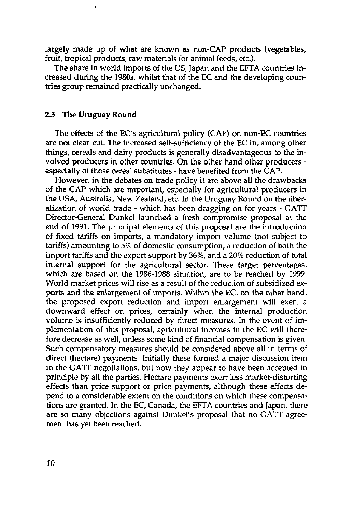largely made up of what are known as non-CAP products (vegetables, fruit, tropical products, raw materials for animal feeds, etc.).

The share in world imports of the US, Japan and the EFTA countries increased during the 1980s, whilst that of the EC and the developing countries group remained practically unchanged.

#### **2.3 The Uruguay Round**

The effects of the EC's agricultural policy (CAP) on non-EC countries are not clear-cut. The increased self-sufficiency of the EC in, among other things, cereals and dairy products is generally disadvantageous to the involved producers in other countries. On the other hand other producers especially of those cereal substitutes - have benefited from the CAP.

However, in the debates on trade policy it are above all the drawbacks of the CAP which are important, especially for agricultural producers in the USA, Australia, New Zealand, etc. In the Uruguay Round on the liberalization of world trade - which has been dragging on for years - GATT Director-General Dunkel launched a fresh compromise proposal at the end of 1991. The principal elements of this proposal are the introduction of fixed tariffs on imports, a mandatory import volume (not subject to tariffs) amounting to 5% of domestic consumption, a reduction of both the import tariffs and the export support by 36%, and a 20% reduction of total internal support for the agricultural sector. These target percentages, which are based on the 1986-1988 situation, are to be reached by 1999. World market prices will rise as a result of the reduction of subsidized exports and the enlargement of imports. Within the EC, on the other hand, the proposed export reduction and import enlargement will exert a downward effect on prices, certainly when the internal production volume is insufficiently reduced by direct measures. In the event of implementation of this proposal, agricultural incomes in the EC will therefore decrease as well, unless some kind of financial compensation is given. Such compensatory measures should be considered above all in terms of direct (hectare) payments. Initially these formed a major discussion item in the GATT negotiations, but now they appear to have been accepted in principle by all the parties. Hectare payments exert less market-distorting effects than price support or price payments, although these effects depend to a considerable extent on the conditions on which these compensations are granted. In the EC, Canada, the EFTA countries and Japan, there are so many objections against Dunkel's proposal that no GATT agreement has yet been reached.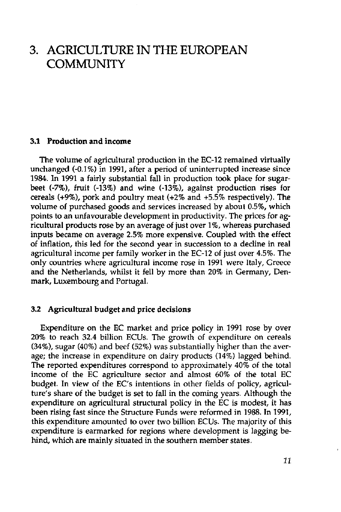### 3. AGRICULTURE IN THE EUROPEAN COMMUNITY

#### **3.1 Production and income**

The volume of agricultural production in the EC-12 remained virtually unchanged (-0.1%) in 1991, after a period of uninterrupted increase since 1984. In 1991 a fairly substantial fall in production took place for sugarbeet (-7%), fruit (-13%) and wine (-13%), against production rises for cereals (+9%), pork and poultry meat (+2% and +5.5% respectively). The volume of purchased goods and services increased by about 0.5%, which points to an unfavourable development in productivity. The prices for agricultural products rose by an average of just over 1 %, whereas purchased inputs became on average 2.5% more expensive. Coupled with the effect of inflation, this led for the second year in succession to a decline in real agricultural income per family worker in the EC-12 of just over 4.5%. The only countries where agricultural income rose in 1991 were Italy, Greece and the Netherlands, whilst it fell by more than 20% in Germany, Denmark, Luxembourg and Portugal.

#### **3.2 Agricultural budget and price decisions**

Expenditure on the EC market and price policy in 1991 rose by over 20% to reach 32.4 billion ECUs. The growth of expenditure on cereals (34%), sugar (40%) and beef (52%) was substantially higher than the average; the increase in expenditure on dairy products (14%) lagged behind. The reported expenditures correspond to approximately 40% of the total income of the EC agriculture sector and almost 60% of the total EC budget. In view of the EC's intentions in other fields of policy, agriculture's share of the budget is set to fall in the coming years. Although the expenditure on agricultural structural policy in the EC is modest, it has been rising fast since the Structure Funds were reformed in 1988. In 1991, this expenditure amounted to over two billion ECUs. The majority of this expenditure is earmarked for regions where development is lagging behind, which are mainly situated in the southern member states.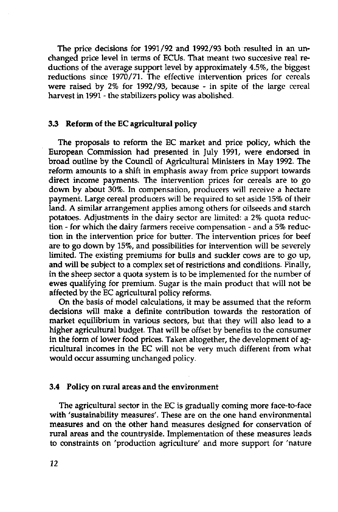The price decisions for 1991/92 and 1992/93 both resulted in an unchanged price level in terms of ECUs. That meant two succesive real reductions of the average support level by approximately 4.5%, the biggest reductions since 1970/71. The effective intervention prices for cereals were raised by 2% for 1992/93, because - in spite of the large cereal harvest in 1991 - the stabilizers policy was abolished.

#### **3.3 Reform of the EC agricultural policy**

The proposals to reform the EC market and price policy, which the European Commission had presented in July 1991, were endorsed in broad outline by the Council of Agricultural Ministers in May 1992. The reform amounts to a shift in emphasis away from price support towards direct income payments. The intervention prices for cereals are to go down by about 30%. In compensation, producers will receive a hectare payment. Large cereal producers will be required to set aside 15% of their land. A similar arrangement applies among others for oilseeds and starch potatoes. Adjustments in the dairy sector are limited: a 2% quota reduction - for which the dairy farmers receive compensation - and a 5% reduction in the intervention price for butter. The intervention prices for beef are to go down by 15%, and possibilities for intervention will be severely limited. The existing premiums for bulls and suckler cows are to go up, and will be subject to a complex set of restrictions and conditions. Finally, in the sheep sector a quota system is to be implemented for the number of ewes qualifying for premium. Sugar is the main product that will not be affected by the EC agricultural policy reforms.

On the basis of model calculations, it may be assumed that the reform decisions will make a definite contribution towards the restoration of market equilibrium in various sectors, but that they will also lead to a higher agricultural budget. That will be offset by benefits to the consumer in the form of lower food prices. Taken altogether, the development of agricultural incomes in the EC will not be very much different from what would occur assuming unchanged policy.

#### **3.4 Policy on rural** areas **and** the environment

The agricultural sector in the EC is gradually coming more face-to-face with 'sustainability measures'. These are on the one hand environmental measures and on the other hand measures designed for conservation of rural areas and the countryside. Implementation of these measures leads to constraints on 'production agriculture' and more support for 'nature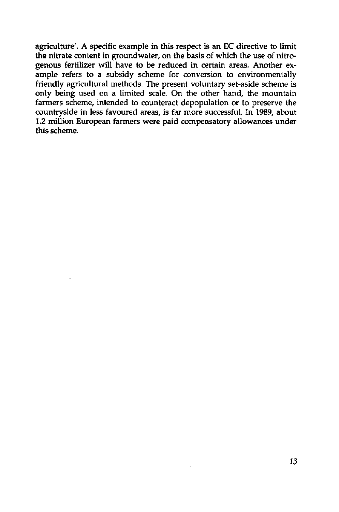agriculture'. A specific example in this respect is an EC directive to limit the nitrate content in groundwater, on the basis of which the use of nitrogenous fertilizer will have to be reduced in certain areas. Another example refers to a subsidy scheme for conversion to environmentally friendly agricultural methods. The present voluntary set-aside scheme is only being used on a limited scale. On the other hand, the mountain farmers scheme, intended to counteract depopulation or to preserve the countryside in less favoured areas, is far more successful. In 1989, about 1.2 million European farmers were paid compensatory allowances under this scheme.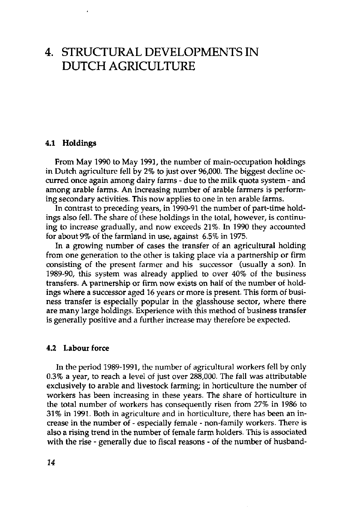## 4. STRUCTURAL DEVELOPMENTS IN DUTCH AGRICULTURE

#### **4.1 Holdings**

From May 1990 to May 1991, the number of main-occupation holdings in Dutch agriculture fell by 2% to just over 96,000. The biggest decline occurred once again among dairy farms - due to the milk quota system - and among arable farms. An increasing number of arable farmers is performing secondary activities. This now applies to one in ten arable farms.

In contrast to preceding years, in 1990-91 the number of part-time holdings also fell. The share of these holdings in the total, however, is continuing to increase gradually, and now exceeds 21%. In 1990 they accounted for about 9% of the farmland in use, against 6.5% in 1975.

In a growing number of cases the transfer of an agricultural holding from one generation to the other is taking place via a partnership or firm consisting of the present farmer and his successor (usually a son). In 1989-90, this system was already applied to over 40% of the business transfers. A partnership or firm now exists on half of the number of holdings where a successor aged 16 years or more is present. This form of business transfer is especially popular in the glasshouse sector, where there are many large holdings. Experience with this method of business transfer is generally positive and a further increase may therefore be expected.

#### **4.2 Labour force**

In the period 1989-1991, the number of agricultural workers fell by only 0.3% a year, to reach a level of just over 288,000. The fall was attributable exclusively to arable and livestock farming; in horticulture the number of workers has been increasing in these years. The share of horticulture in the total number of workers has consequently risen from 27% in 1986 to 31% in 1991. Both in agriculture and in horticulture, there has been an increase in the number of - especially female - non-family workers. There is also a rising trend in the number of female farm holders. This is associated with the rise - generally due to fiscal reasons - of the number of husband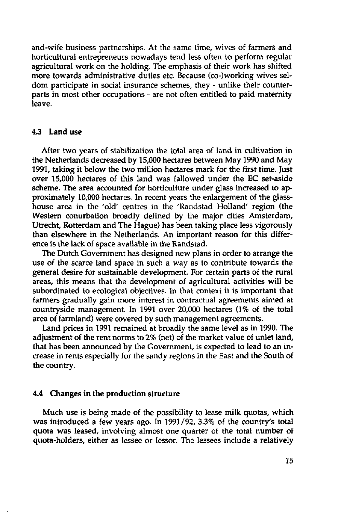and-wife business partnerships. At the same time, wives of farmers and horticultural entrepreneurs nowadays tend less often to perform regular agricultural work on the holding. The emphasis of their work has shifted more towards administrative duties etc. Because (co-)working wives seldom participate in social insurance schemes, they - unlike their counterparts in most other occupations - are not often entitled to paid maternity leave.

#### **4.3 Land use**

After two years of stabilization the total area of land in cultivation in the Netherlands decreased by 15,000 hectares between May 1990 and May 1991, taking it below the two million hectares mark for the first time. Just over 15,000 hectares of this land was fallowed under the EC set-aside scheme. The area accounted for horticulture under glass increased to approximately 10,000 hectares. In recent years the enlargement of the glasshouse area in the 'old' centres in the 'Randstad Holland' region (the Western conurbation broadly defined by the major cities Amsterdam, Utrecht, Rotterdam and The Hague) has been taking place less vigorously than elsewhere in the Netherlands. An important reason for this difference is the lack of space available in the Randstad.

The Dutch Government has designed new plans in order to arrange the use of the scarce land space in such a way as to contribute towards the general desire for sustainable development. For certain parts of the rural areas, this means that the development of agricultural activities will be subordinated to ecological objectives. In that context it is important that farmers gradually gain more interest in contractual agreements aimed at countryside management. In 1991 over 20,000 hectares (1% of the total area of farmland) were covered by such management agreements.

Land prices in 1991 remained at broadly the same level as in 1990. The adjustment of the rent norms to 2% (net) of the market value of unlet land, that has been announced by the Government, is expected to lead to an increase in rents especially for the sandy regions in the East and the South of the country.

#### **4.4 Changes in the production structure**

Much use is being made of the possibility to lease milk quotas, which was introduced a few years ago. In 1991/92, 3.3% of the country's total quota was leased, involving almost one quarter of the total number of quota-holders, either as lessee or lessor. The lessees include a relatively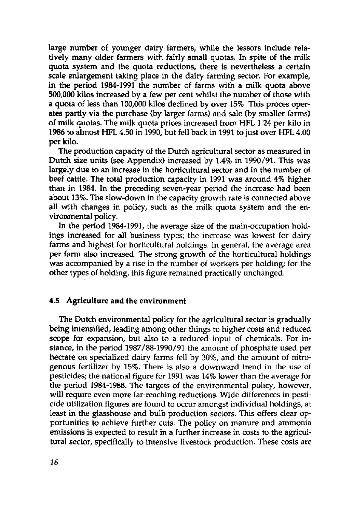large number of younger dairy farmers, while the lessors include relatively many older farmers with fairly small quotas. In spite of the milk quota system and the quota reductions, there is nevertheless a certain scale enlargement taking place in the dairy farming sector. For example, in the period 1984-1991 the number of farms with a milk quota above 500,000 kilos increased by a few per cent whilst the number of those with a quota of less than 100,000 kilos declined by over 15%. This proces operates partly via the purchase (by larger farms) and sale (by smaller farms) of milk quotas. The milk quota prices increased from HFL 1.24 per kilo in 1986 to almost HFL 4.50 in 1990, but fell back in 1991 to just over HFL 4.00 **per** kilo.

The production capacity of the Dutch agricultural sector as measured in Dutch size units (see Appendix) increased by 1.4% in 1990/91. This was largely due to an increase in the horticultural sector and in the number of beef cattle. The total production capacity in 1991 was around 4% higher than in 1984. In the preceding seven-year period the increase had been about 13%. The slow-down in the capacity growth rate is connected above all with changes in policy, such as the milk quota system and the environmental policy.

In the period 1984-1991, the average size of the main-occupation holdings increased for all business types; the increase was lowest for dairy farms and highest for horticultural holdings. In general, the average area per farm also increased. The strong growth of the horticultural holdings was accompanied by a rise in the number of workers per holding; for the other types of holding, this figure remained practically unchanged.

#### **4.5 Agriculture and the** environment

The Dutch environmental policy for the agricultural sector is gradually being intensified, leading among other things to higher costs and reduced scope for expansion, but also to a reduced input of chemicals. For instance, in the period 1987/88-1990/91 the amount of phosphate used per hectare on specialized dairy farms fell by 30%, and the amount of nitrogenous fertilizer by 15%. There is also a downward trend in the use of pesticides; the national figure for 1991 was 14% lower than the average for the period 1984-1988. The targets of the environmental policy, however, will require even more far-reaching reductions. Wide differences in pesticide utilization figures are found to occur amongst individual holdings, at least in the glasshouse and bulb production sectors. This offers clear opportunities to achieve further cuts. The policy on manure and ammonia emissions is expected to result in a further increase in costs to the agricultural sector, specifically to intensive livestock production. These costs are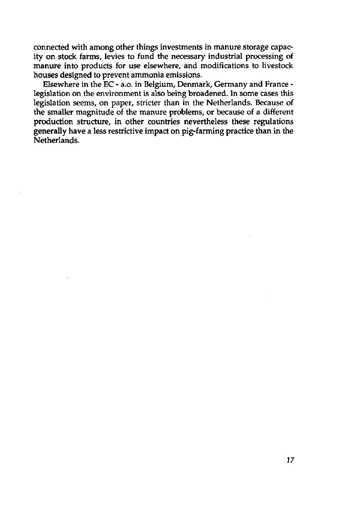connected with among other things investments in manure storage capacity on stock farms, levies to fund the necessary industrial processing of manure into products for use elsewhere, and modifications to livestock houses designed to prevent ammonia emissions.

Elsewhere in the EC - a.o. in Belgium, Denmark, Germany and France legislation on the environment is also being broadened. In some cases this legislation seems, on paper, stricter than in the Netherlands. Because of the smaller magnitude of the manure problems, or because of a different production structure, in other countries nevertheless these regulations generally have a less restrictive impact on pig-farming practice than in the Netherlands.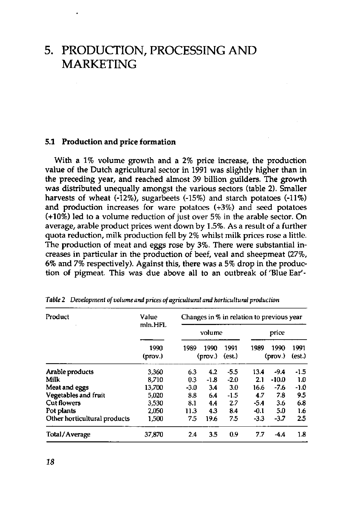### 5. PRODUCTION, PROCESSING AND **MARKETING**

#### **5.1 Production and price formation**

With a 1% volume growth and a 2% price increase, the production value of the Dutch agricultural sector in 1991 was slightly higher than in the preceding year, and reached almost 39 billion guilders. The growth was distributed unequally amongst the various sectors (table 2). Smaller harvests of wheat (-12%), sugarbeets (-15%) and starch potatoes (-11%) and production increases for ware potatoes (+3%) and seed potatoes (+10%) led to a volume reduction of just over 5% in the arable sector. On average, arable product prices went down by 1.5%. As a result of a further quota reduction, milk production fell by 2% whilst milk prices rose a little. The production of meat and eggs rose by 3%. There were substantial increases in particular in the production of beef, veal and sheepmeat (27%, 6% and 7% respectively). Against this, there was a 5% drop in the production of pigmeat. This was due above all to an outbreak of 'Blue Ear'-

| Product                      | Value           | Changes in % in relation to previous year |                 |                |        |                         |                |  |
|------------------------------|-----------------|-------------------------------------------|-----------------|----------------|--------|-------------------------|----------------|--|
|                              | mln.HFL         | volume                                    |                 |                | price  |                         |                |  |
|                              | 1990<br>(prov.) | 1989                                      | 1990<br>(prov.) | 1991<br>(est.) | 1989   | 1990<br>$(\text{prov})$ | 1991<br>(est.) |  |
| Arable products              | 3,360           | 6.3                                       | 4.2             | $-5.5$         | 13.4   | $-9.4$                  | $-1.5$         |  |
| Milk                         | 8.710           | 0.3                                       | $-1.8$          | $-2.0$         | 2.1    | $-10.0$                 | 1.0            |  |
| Meat and eggs                | 13,700          | $-3.0$                                    | 3.4             | 3.0            | 16.6   | $-7.6$                  | $-1.0$         |  |
| Vegetables and fruit         | 5,020           | 8.8                                       | 6.4             | $-1.5$         | 4.7    | 7.8                     | 9.5            |  |
| <b>Cut flowers</b>           | 3,530           | 8.1                                       | 4.4             | 2.7            | $-5.4$ | 3.6                     | 6.8            |  |
| Pot plants                   | 2.050           | 11.3                                      | 4.3             | 8.4            | $-0.1$ | 5.0                     | 1.6            |  |
| Other horticultural products | 1,500           | 7.5                                       | 19.6            | 75             | $-3.3$ | $-3.7$                  | 2.5            |  |
| Total/Average                | 37,870          | 2.4                                       | 3.5             | 0.9            | 7.7    | $-4.4$                  | 1.8            |  |

*Table 2 Development of volume and prices of agricultural and horticultural production*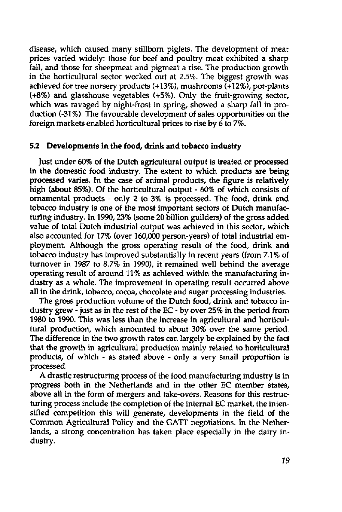disease, which caused many stillborn piglets. The development of meat prices varied widely: those for beef and poultry meat exhibited a sharp fall, and those for sheepmeat and pigmeat a rise. The production growth in the horticultural sector worked out at 2.5%. The biggest growth was achieved for tree nursery products (+13%), mushrooms (+12%), pot-plants (+8%) and glasshouse vegetables (+5%). Only the fruit-growing sector, which was ravaged by night-frost in spring, showed a sharp fall in production (-31%). The favourable development of sales opportunities on the foreign markets enabled horticultural prices to rise by 6 to 7%.

#### **5.2 Developments in the food, drink and tobacco industry**

Just under 60% of the Dutch agricultural output is treated or processed in the domestic food industry. The extent to which products are being processed varies. In the case of animal products, the figure is relatively high (about 85%). Of the horticultural output - 60% of which consists of ornamental products - only 2 to 3% is processed. The food, drink and tobacco industry is one of the most important sectors of Dutch manufacturing industry. In 1990,23% (some 20 billion guilders) of the gross added value of total Dutch industrial output was achieved in this sector, which also accounted for 17% (over 160,000 person-years) of total industrial employment. Although the gross operating result of the food, drink and tobacco industry has improved substantially in recent years (from 7.1% of turnover in 1987 to 8.7% in 1990), it remained well behind the average operating result of around 11% as achieved within the manufacturing industry as a whole. The improvement in operating result occurred above all in the drink, tobacco, cocoa, chocolate and sugar processing industries.

The gross production volume of the Dutch food, drink and tobacco industry grew - just as in the rest of the EC - by over 25% in the period from 1980 to 1990. This was less than the increase in agricultural and horticultural production, which amounted to about 30% over the same period. The difference in the two growth rates can largely be explained by the fact that the growth in agricultural production mainly related to horticultural products, of which - as stated above - only a very small proportion is processed.

A drastic restructuring process of the food manufacturing industry is in progress both in the Netherlands and in the other EC member states, above all in the form of mergers and take-overs. Reasons for this restructuring process include the completion of the internal EC market, the intensified competition this will generate, developments in the field of the Common Agricultural Policy and the GATT negotiations. In the Netherlands, a strong concentration has taken place especially in the dairy industry.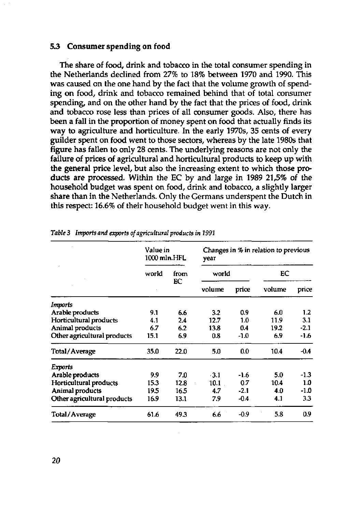#### **5.3 Consumer spending on food**

The share of food, drink and tobacco in the total consumer spending in the Netherlands declined from 27% to 18% between 1970 and 1990. This was caused on the one hand by the fact that the volume growth of spending on food, drink and tobacco remained behind that of total consumer spending, and on the other hand by the fact that the prices of food, drink and tobacco rose less than prices of all consumer goods. Also, there has been a fall in the proportion of money spent on food that actually finds its way to agriculture and horticulture. In the early 1970s, 35 cents of every guilder spent on food went to those sectors, whereas by the late 1980s that figure has fallen to only 28 cents. The underlying reasons are not only the failure of prices of agricultural and horticultural products to keep up with the general price level, but also the increasing extent to which those products are processed. Within the EC by and large in 1989 21,5% of the household budget was spent on food, drink and tobacco, a slightly larger share than in the Netherlands. Only the Germans underspent the Dutch in this respect: 16.6% of their household budget went in this way.

|                             | Value in<br>1000 mln.HFL |      | year   |        | Changes in % in relation to previous |        |
|-----------------------------|--------------------------|------|--------|--------|--------------------------------------|--------|
|                             | world                    | from | world  |        | EC                                   |        |
|                             |                          | EC   | volume | price  | volume                               | price  |
| Imports                     |                          |      |        |        |                                      |        |
| Arable products             | 9.1                      | 6.6  | 3.2    | 0.9    | 6.0                                  | 1.2    |
| Horticultural products      | 4.1                      | 2.4  | 12.7   | 1.0    | 11.9                                 | 3.1    |
| Animal products             | 6.7                      | 6.2  | 13.8   | 04     | 19.2                                 | $-2.1$ |
| Other agricultural products | 15.1                     | 6.9  | 0.8    | -1.0   | 6.9                                  | $-1.6$ |
| Total/Average               | 35.0                     | 22.0 | 5.0    | 0.0    | 10.4                                 | $-0.4$ |
| Exports                     |                          |      |        |        |                                      |        |
| Arable products             | 9.9                      | 7.0  | $-3.1$ | -1.6   | 5.0                                  | $-1.3$ |
| Horticultural products      | 15.3                     | 12.8 | 10.1   | 0.7    | 10.4                                 | 1.0    |
| Animal products             | 19.5                     | 16.5 | 4.7    | $-2.1$ | 4.0                                  | $-1.0$ |
| Other agricultural products | 16.9                     | 13.1 | 79     | $-0.4$ | 4.1                                  | 3.3    |
| Total/Average               | 61.6                     | 49.3 | 6.6    | $-0.9$ | 5.8                                  | 0.9    |

*Table* **3** *Imports and exports of agricultural products in 1991*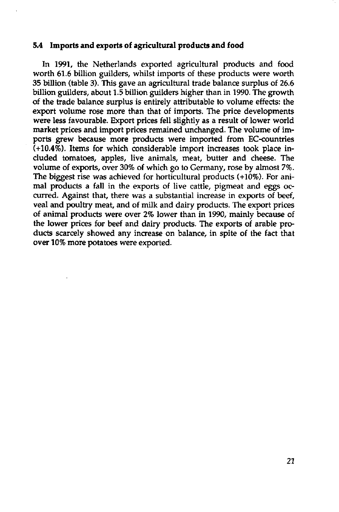#### **5.4 Imports and exports of agricultural products and food**

In 1991, the Netherlands exported agricultural products and food worth 61.6 billion guilders, whilst imports of these products were worth 35 billion (table 3). This gave an agricultural trade balance surplus of 26.6 billion guilders, about 1.5 billion guilders higher than in 1990. The growth of the trade balance surplus is entirely attributable to volume effects: the export volume rose more than that of imports. The price developments were less favourable. Export prices fell slightly as a result of lower world market prices and import prices remained unchanged. The volume of imports grew because more products were imported from EC-countries  $(+10.4\%)$ . Items for which considerable import increases took place included tomatoes, apples, live animals, meat, butter and cheese. The volume of exports, over 30% of which go to Germany, rose by almost 7%. The biggest rise was achieved for horticultural products (+10%). For animal products a fall in the exports of live cattle, pigmeat and eggs occurred. Against that, there was a substantial increase in exports of beef, veal and poultry meat, and of milk and dairy products. The export prices of animal products were over 2% lower than in 1990, mainly because of the lower prices for beef and dairy products. The exports of arable products scarcely showed any increase on balance, in spite of the fact that over 10% more potatoes were exported.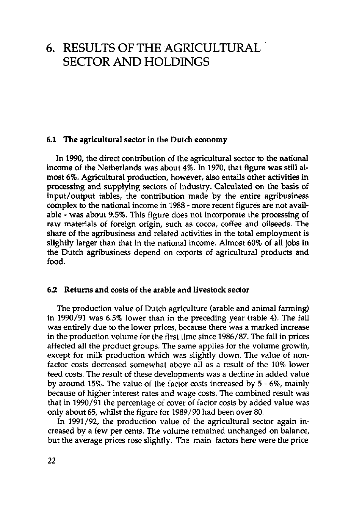## 6. RESULTS OF THE AGRICULTURAL SECTOR AND HOLDINGS

#### **6.1 The agricultural sector in the Dutch economy**

**In** 1990, the direct contribution of the agricultural sector to the national income of the Netherlands was about 4%. In 1970, that figure was still almost 6%. Agricultural production, however, also entails other activities in processing and supplying sectors of industry. Calculated on the basis of input/output tables, the contribution made by the entire agribusiness complex to the national income in 1988 - more recent figures are not available - was about 9.5%. This figure does not incorporate the processing of raw materials of foreign origin, such as cocoa, coffee and oilseeds. The share of the agribusiness and related activities in the total employment is slightly larger than that in the national income. Almost 60% of all jobs in the Dutch agribusiness depend on exports of agricultural products and food.

#### **6.2 Returns and** costs of the arable and livestock sector

The production value of Dutch agriculture (arable and animal farming) in 1990/91 was 6.5% lower than in the preceding year (table 4). The fall was entirely due to the lower prices, because there was a marked increase in the production volume for the first time since 1986/87. The fall in prices affected all the product groups. The same applies for the volume growth, except for milk production which was slightly down. The value of nonfactor costs decreased somewhat above all as a result of the 10% lower feed costs. The result of these developments was a decline in added value by around 15%. The value of the factor costs increased by 5 - 6%, mainly because of higher interest rates and wage costs. The combined result was that in 1990/91 the percentage of cover of factor costs by added value was only about 65, whilst the figure for 1989/90 had been over 80.

In 1991/92, the production value of the agricultural sector again increased by a few per cents. The volume remained unchanged on balance, but the average prices rose slightly. The main factors here were the price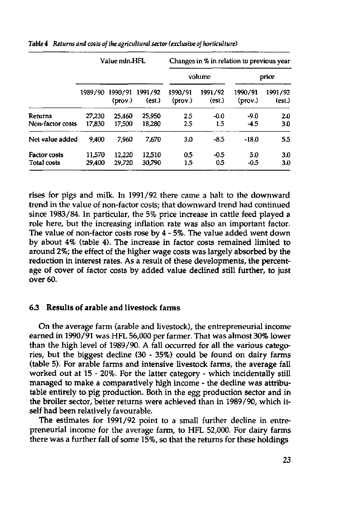|                                           |                  | Value mln.HFL        |                   |                             |                   | Changes in % in relation to previous year |                   |
|-------------------------------------------|------------------|----------------------|-------------------|-----------------------------|-------------------|-------------------------------------------|-------------------|
|                                           |                  |                      |                   |                             | volume            |                                           | price             |
|                                           | 1989/90          | 1990/91<br>$(prov.)$ | 1991/92<br>(est.) | 1990/91<br>$(\text{prov.})$ | 1991/92<br>(est.) | 1990/91<br>(prov.)                        | 1991/92<br>(est.) |
| <b>Returns</b><br>Non-factor costs        | 27,230<br>17,830 | 25.460<br>17,500     | 25,950<br>18,280  | 2.5<br>2.5                  | $-0.0$<br>1.5     | $-9.0$<br>$-4.5$                          | 2.0<br>3.0        |
| Net value added                           | 9.400            | 7.960                | 7.670             | 3.0                         | $-8.5$            | $-18.0$                                   | 5.5               |
| <b>Factor costs</b><br><b>Total costs</b> | 11.570<br>29,400 | 12.220<br>29.720     | 12.510<br>30,790  | 0.5<br>1.5                  | $-0.5$<br>0.5     | 5.0<br>$-0.5$                             | 3.0<br>3.0        |

*Table 4 Returns and costs of the agricultural sector (exclusive of horticulture)* 

rises for pigs and milk. In 1991/92 there came a halt to the downward trend in the value of non-factor costs; that downward trend had continued since 1983/84. In particular, the 5% price increase in cattle feed played a role here, but the increasing inflation rate was also an important factor. The value of non-factor costs rose by 4 - 5%. The value added went down by about 4% (table 4). The increase in factor costs remained limited to around 2%; the effect of the higher wage costs was largely absorbed by the reduction in interest rates. As a result of these developments, the percentage of cover of factor costs by added value declined still further, to just over 60.

#### **6.3 Results of arable and livestock farms**

On the average farm (arable and livestock), the entrepreneurial income earned in 1990/91 was HFL 56,000 per farmer. That was almost 30% lower than the high level of 1989/90. A fall occurred for all the various categories, but the biggest decline (30 - 35%) could be found on dairy farms (table 5). For arable farms and intensive livestock farms, the average fall worked out at 15 - 20%. For the latter category - which incidentally still managed to make a comparatively high income - the decline was attributable entirely to pig production. Both in the egg production sector and in the broiler sector, better returns were achieved than in 1989/90, which itself had been relatively favourable.

The estimates for 1991/92 point to a small further decline in entrepreneurial income for the average farm, to HFL 52,000. For dairy farms there was a further fall of some 15%, so that the returns for these holdings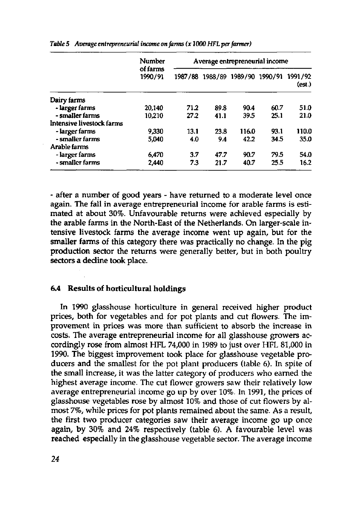|                           | <b>Number</b>       |      |      | Average entrepreneurial income  |      |                   |
|---------------------------|---------------------|------|------|---------------------------------|------|-------------------|
|                           | of farms<br>1990/91 |      |      | 1987/88 1988/89 1989/90 1990/91 |      | 1991/92<br>(est.) |
| Dairy farms               |                     |      |      |                                 |      |                   |
| - larger farms            | 20,140              | 71.2 | 89.8 | 90.4                            | 60.7 | 51.0              |
| - smaller farms           | 10,210              | 27.2 | 41.1 | 39.5                            | 25.1 | 21.0              |
| Intensive livestock farms |                     |      |      |                                 |      |                   |
| - larger farms            | 9.330               | 13.1 | 23.8 | 116.0                           | 93.1 | 110.0             |
| - smaller farms           | 5.040               | 4.0  | 9.4  | 42.2                            | 34.5 | 35.0              |
| Arable farms              |                     |      |      |                                 |      |                   |
| - larger farms            | 6,470               | 3.7  | 47.7 | 90.7                            | 79.5 | 54.0              |
| - smaller farms           | 2,440               | 73   | 21.7 | 40.7                            | 25.5 | 16.2              |

*Table 5 Average entrepreneurial income on farms (x 1000 HFLper farmer)* 

- after a number of good years - have returned to a moderate level once again. The fall in average entrepreneurial income for arable farms is estimated at about 30%. Unfavourable returns were achieved especially by the arable farms in the North-East of the Netherlands. On larger-scale intensive livestock farms the average income went up again, but for the smaller farms of this category there was practically no change. In the pig **production** sector the returns were generally better, but in both poultry sectors a decline took place.

#### **6.4 Results of horticultural holdings**

**In** 1990 glasshouse horticulture in general received higher product prices, both for vegetables and for pot plants and cut flowers. The improvement in prices was more than sufficient to absorb the increase in costs. The average entrepreneurial income for all glasshouse growers accordingly rose from almost HFL 74,000 in 1989 to just over HFL 81,000 in 1990. The biggest improvement took place for glasshouse vegetable producers and the smallest for the pot plant producers (table 6). In spite of the small increase, it was the latter category of producers who earned the highest average income. The cut flower growers saw their relatively low average entrepreneurial income go up by over 10%. In 1991, the prices of glasshouse vegetables rose by almost 10% and those of cut flowers by almost 7%, while prices for pot plants remained about the same. As a result, the first two producer categories saw their average income go up once again, by 30% and 24% respectively (table 6). A favourable level was reached especially in the glasshouse vegetable sector. The average income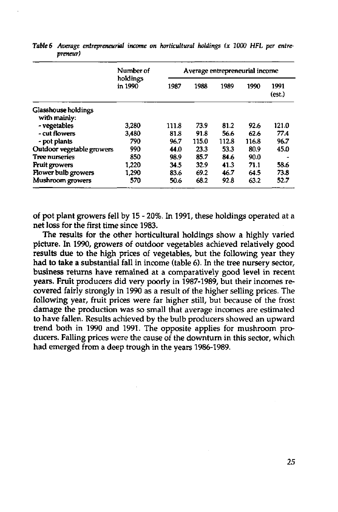|                              | Number of<br>holdings<br>in 1990<br>3.280 | Average entrepreneurial income |       |       |       |                |  |
|------------------------------|-------------------------------------------|--------------------------------|-------|-------|-------|----------------|--|
|                              |                                           | 1987                           | 1988  | 1989  | 1990  | 1991<br>(est.) |  |
| Glasshouse holdings          |                                           |                                |       |       |       |                |  |
| with mainly:<br>- vegetables |                                           | 111.8                          | 73.9  | 81.2  | 92.6  | 121.0          |  |
| - cut flowers                | 3480                                      | 81.8                           | 91.8  | 56.6  | 62.6  | 77.4           |  |
| - pot plants                 | 790                                       | 96.7                           | 115.0 | 112.8 | 116.8 | 96.7           |  |
| Outdoor vegetable growers    | 990                                       | 44.0                           | 23.3  | 53.3  | 80.9  | 45.0           |  |
| <b>Tree nurseries</b>        | 850                                       | 98.9                           | 85.7  | 84.6  | 90.0  |                |  |
| <b>Fruit growers</b>         | 1,220                                     | 34.5                           | 32.9  | 41.3  | 71.1  | 58.6           |  |
| Flower bulb growers          | 1,290                                     | 83.6                           | 69.2  | 46.7  | 64.5  | 73.8           |  |
| Mushroom growers             | 570                                       | 50.6                           | 68.2  | 92.8  | 63.2  | 52.7           |  |

Table 6 Average entrepreneurial income on horticultural holdings (x 1000 HFL per entre*preneur)* 

of pot plant growers fell by 15 - 20%. In 1991, these holdings operated at a net loss for the first time since 1983.

The results for the other horticultural holdings show a highly varied picture. In 1990, growers of outdoor vegetables achieved relatively good results due to the high prices of vegetables, but the following year they had to take a substantial fall in income (table 6). In the tree nursery sector, business returns have remained at a comparatively good level in recent years. Fruit producers did very poorly in 1987-1989, but their incomes recovered fairly strongly in 1990 as a result of the higher selling prices. The following year, fruit prices were far higher still, but because of the frost damage the production was so small that average incomes are estimated to have fallen. Results achieved by the bulb producers showed an upward trend both in 1990 and 1991. The opposite applies for mushroom producers. Falling prices were the cause of the downturn in this sector, which had emerged from a deep trough in the years 1986-1989.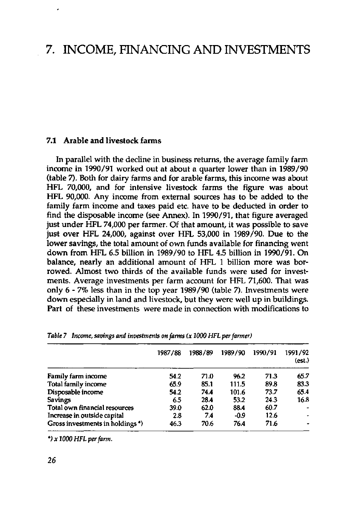### 7. INCOME, FINANCING AND INVESTMENTS

#### **7.1 Arable and livestock farms**

**In** parallel with the decline in business returns, the average family farm income in 1990/91 worked out at about a quarter lower than in 1989/90 (table 7). Both for dairy farms and for arable farms, this income was about HFL 70,000, and for intensive livestock farms the figure was about HFL 90,000. Any income from external sources has to be added to the family farm income and taxes paid etc. have to be deducted in order to find the disposable income (see Annex). In 1990/91, that figure averaged just under HFL 74,000 per farmer. Of that amount, it was possible to save just over HFL 24,000, against over HFL 53,000 in 1989/90. Due to the lower savings, the total amount of own funds available for financing went down from HFL 6.5 billion in 1989/90 to HFL 4.5 billion in 1990/91. On balance, nearly an additional amount of HFL 1 billion more was borrowed. Almost two thirds of the available funds were used for investments. Average investments per farm account for HFL 71,600. That was only 6-7% less than in the top year 1989/90 (table 7). Investments were down especially in land and livestock, but they were well up in buildings. Part of these investments were made in connection with modifications to

|                                             | 1987/88 | 1988/89 | 1989/90 | 1990/91 | 1991/92<br>(est.) |
|---------------------------------------------|---------|---------|---------|---------|-------------------|
| Family farm income                          | 54.2    | 71.0    | 96.2    | 71.3    | 65.7              |
| Total family income                         | 65.9    | 85.1    | 111.5   | 89.8    | 83.3              |
| Disposable income                           | 54.2    | 74.4    | 101.6   | 73.7    | 65.4              |
| <b>Savings</b>                              | 65      | 28.4    | 53.2    | 24.3    | 16.8              |
| Total own financial resources               | 39.0    | 62.0    | 88.4    | 60.7    |                   |
| Increase in outside capital                 | 2.8     | 7.4     | $-0.9$  | 12.6    |                   |
| Gross investments in holdings *)<br>------- | 46.3    | 70.6    | 76.4    | 71.6    |                   |

*Table 7 Income, savings and investments on farms (x 1000 HFL per farmer)* 

*VxlOOO HFL per farm.*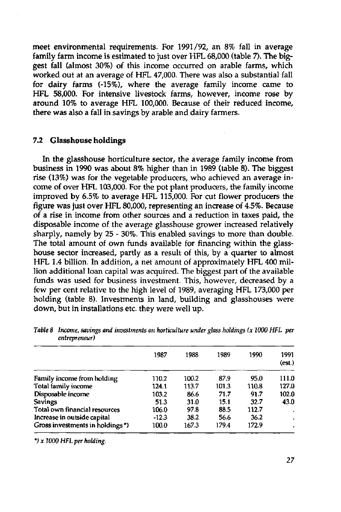meet environmental requirements. For 1991/92, an 8% fall in average family farm income is estimated to just over HFL 68,000 (table 7). The biggest fall (almost 30%) of this income occurred on arable farms, which worked out at an average of HFL 47,000. There was also a substantial fall for dairy farms (-15%), where the average family income came to HFL 58,000. For intensive livestock farms, however, income rose by around 10% to average HFL 100,000. Because of their reduced income, there was also a fall in savings by arable and dairy farmers.

#### 7.2 Glasshouse holdings

In the glasshouse horticulture sector, the average family income from business in 1990 was about 8% higher than in 1989 (table 8). The biggest rise (13%) was for the vegetable producers, who achieved an average income of over HFL 103,000. For the pot plant producers, the family income improved by 6.5% to average HFL 115,000. For cut flower producers the figure was just over HFL 80,000, representing an increase of 4.5%. Because of a rise in income from other sources and a reduction in taxes paid, the disposable income of the average glasshouse grower increased relatively sharply, namely by 25 - 30%. This enabled savings to more than double. The total amount of own funds available for financing within the glasshouse sector increased, partly as a result of this, by a quarter to almost HFL 1.4 billion. In addition, a net amount of approximately HFL 400 million additional loan capital was acquired. The biggest part of the available funds was used for business investment. This, however, decreased by a few per cent relative to the high level of 1989, averaging HFL 173,000 per holding (table 8). Investments in land, building and glasshouses were down, but in installations etc. they were well up.

|                                 | 1987    | 1988  | 1989  | 1990  | 1991<br>(est.) |
|---------------------------------|---------|-------|-------|-------|----------------|
| Family income from holding      | 110.2   | 100.2 | 87.9  | 95.0  | 111.0          |
| Total family income             | 124.1   | 113.7 | 101.3 | 110.8 | 127.0          |
| Disposable income               | 103.2   | 86.6  | 71.7  | 91.7  | 102.0          |
| <b>Savings</b>                  | 51.3    | 31.0  | 15.1  | 32.7  | 43.0           |
| Total own financial resources   | 106.0   | 97.8  | 88.5  | 112.7 | ٠              |
| Increase in outside capital     | $-12.3$ | 38.2  | 56.6  | 36.2  |                |
| Gross investments in holdings*) | 100.0   | 167.3 | 179.4 | 172.9 |                |
|                                 |         |       |       |       |                |

*Table 8 Income, savings and investments on horticulture under glass holdings (x 1000 HFL per entrepreneur)* 

*\*)x W00 HFL per holding.*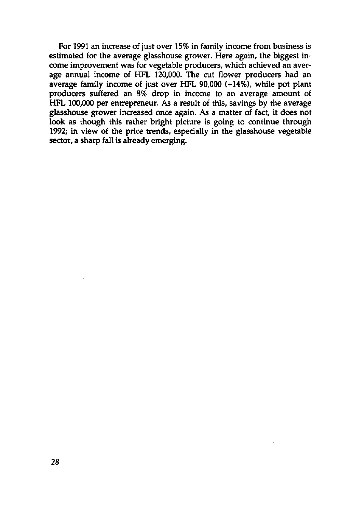For 1991 an increase of just over 15% in family income from business is estimated for the average glasshouse grower. Here again, the biggest income improvement was for vegetable producers, which achieved an average annual income of HFL 120,000. The cut flower producers had an average family income of just over HFL 90,000 (+14%), while pot plant producers suffered an 8% drop in income to an average amount of HFL 100,000 per entrepreneur. As a result of this, savings by the average glasshouse grower increased once again. As a matter of fact, it does not look as though this rather bright picture is going to continue through 1992; in view of the price trends, especially in the glasshouse vegetable sector, a sharp fall is already emerging.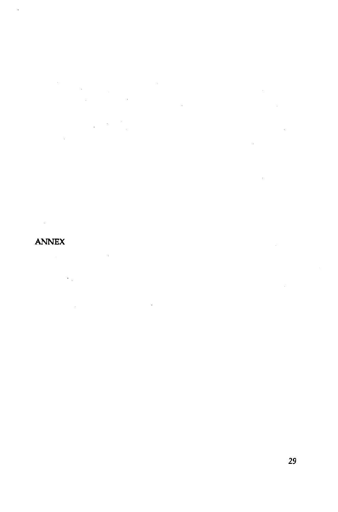$\mathcal{L}^{\text{max}}_{\text{max}}$  $\label{eq:2} \frac{1}{\sqrt{2\pi}}\frac{1}{\sqrt{2\pi}}\frac{1}{\sqrt{2\pi}}\frac{1}{\sqrt{2\pi}}\frac{1}{\sqrt{2\pi}}\frac{1}{\sqrt{2\pi}}\frac{1}{\sqrt{2\pi}}\frac{1}{\sqrt{2\pi}}\frac{1}{\sqrt{2\pi}}\frac{1}{\sqrt{2\pi}}\frac{1}{\sqrt{2\pi}}\frac{1}{\sqrt{2\pi}}\frac{1}{\sqrt{2\pi}}\frac{1}{\sqrt{2\pi}}\frac{1}{\sqrt{2\pi}}\frac{1}{\sqrt{2\pi}}\frac{1}{\sqrt{2\pi}}\frac{1}{\sqrt{2$ 

 $\sim 10^{11}$ 

### ANNEX

 $\ddot{\phantom{a}}$ 

 $\label{eq:2} \frac{1}{2} \int_{\mathbb{R}^3} \frac{1}{\sqrt{2}} \, \mathrm{d} \mu \, \mathrm{d} \mu \, \mathrm{d} \mu \, \mathrm{d} \mu \, \mathrm{d} \mu \, \mathrm{d} \mu \, \mathrm{d} \mu \, \mathrm{d} \mu \, \mathrm{d} \mu \, \mathrm{d} \mu \, \mathrm{d} \mu \, \mathrm{d} \mu \, \mathrm{d} \mu \, \mathrm{d} \mu \, \mathrm{d} \mu \, \mathrm{d} \mu \, \mathrm{d} \mu \, \mathrm{d} \mu \, \mathrm{d} \mu \, \mathrm{d} \mu \, \mathrm$  $\mathcal{L}^{\text{max}}_{\text{max}}$  ,  $\mathcal{L}^{\text{max}}_{\text{max}}$  $\epsilon_{\rm{th}}$ **Contractor**